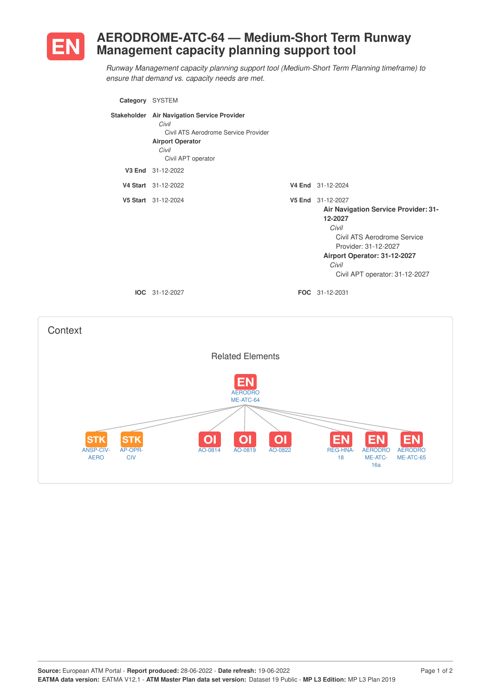

## **AERODROME-ATC-64 — Medium-Short Term Runway Management capacity planning support tool**

*Runway Management capacity planning support tool (Medium-Short Term Planning timeframe) to ensure that demand vs. capacity needs are met.*

| Category SYSTEM |                                                                                                                                                        |                                                                                                                                                                                                                        |
|-----------------|--------------------------------------------------------------------------------------------------------------------------------------------------------|------------------------------------------------------------------------------------------------------------------------------------------------------------------------------------------------------------------------|
|                 | Stakeholder Air Navigation Service Provider<br>Civil<br>Civil ATS Aerodrome Service Provider<br><b>Airport Operator</b><br>Civil<br>Civil APT operator |                                                                                                                                                                                                                        |
|                 | V3 End 31-12-2022                                                                                                                                      |                                                                                                                                                                                                                        |
|                 | V4 Start 31-12-2022                                                                                                                                    | V4 End 31-12-2024                                                                                                                                                                                                      |
|                 | V5 Start 31-12-2024                                                                                                                                    | V5 End 31-12-2027<br><b>Air Navigation Service Provider: 31-</b><br>12-2027<br>Civil<br>Civil ATS Aerodrome Service<br>Provider: 31-12-2027<br>Airport Operator: 31-12-2027<br>Civil<br>Civil APT operator: 31-12-2027 |
|                 | $IOC 31-12-2027$                                                                                                                                       | <b>FOC</b> 31-12-2031                                                                                                                                                                                                  |